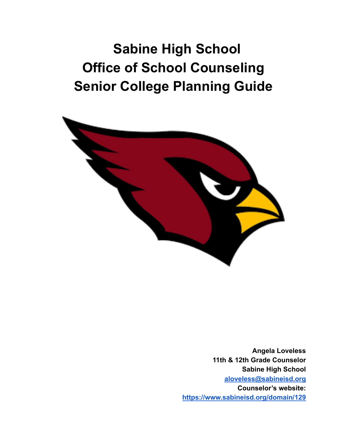**Sabine High School Office of School Counseling Senior College Planning Guide**



**Angela Loveless 11th & 12th Grade Counselor Sabine High School [aloveless@sabineisd.org](mailto:aloveless@sabineisd.org) Counselor's website: <https://www.sabineisd.org/domain/129>**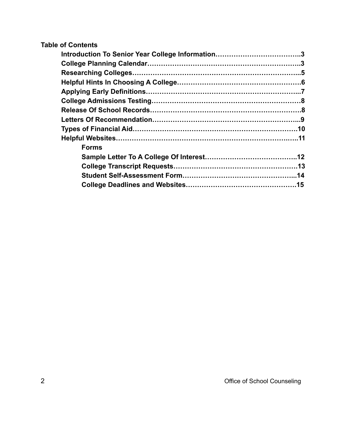### **Table of Contents**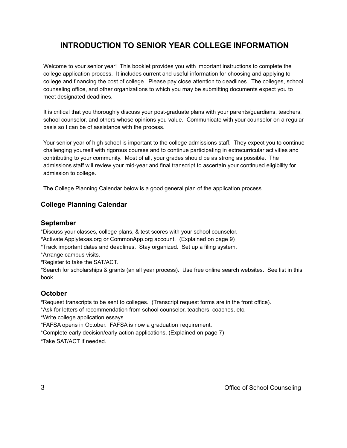# **INTRODUCTION TO SENIOR YEAR COLLEGE INFORMATION**

Welcome to your senior year! This booklet provides you with important instructions to complete the college application process. It includes current and useful information for choosing and applying to college and financing the cost of college. Please pay close attention to deadlines. The colleges, school counseling office, and other organizations to which you may be submitting documents expect you to meet designated deadlines.

It is critical that you thoroughly discuss your post-graduate plans with your parents/guardians, teachers, school counselor, and others whose opinions you value. Communicate with your counselor on a regular basis so I can be of assistance with the process.

Your senior year of high school is important to the college admissions staff. They expect you to continue challenging yourself with rigorous courses and to continue participating in extracurricular activities and contributing to your community. Most of all, your grades should be as strong as possible. The admissions staff will review your mid-year and final transcript to ascertain your continued eligibility for admission to college.

The College Planning Calendar below is a good general plan of the application process.

### **College Planning Calendar**

#### **September**

\*Discuss your classes, college plans, & test scores with your school counselor.

\*Activate Applytexas.org or CommonApp.org account. (Explained on page 9)

\*Track important dates and deadlines. Stay organized. Set up a filing system.

\*Arrange campus visits.

\*Register to take the SAT/ACT.

\*Search for scholarships & grants (an all year process). Use free online search websites. See list in this book.

#### **October**

\*Request transcripts to be sent to colleges. (Transcript request forms are in the front office).

\*Ask for letters of recommendation from school counselor, teachers, coaches, etc.

\*Write college application essays.

\*FAFSA opens in October. FAFSA is now a graduation requirement.

\*Complete early decision/early action applications. (Explained on page 7)

\*Take SAT/ACT if needed.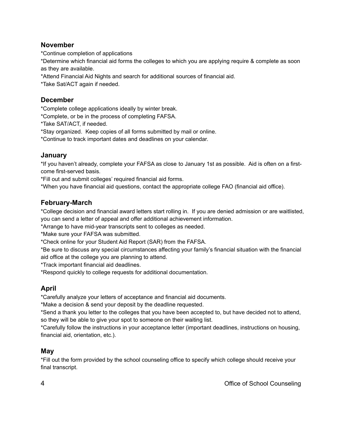#### **November**

\*Continue completion of applications

\*Determine which financial aid forms the colleges to which you are applying require & complete as soon as they are available.

\*Attend Financial Aid Nights and search for additional sources of financial aid.

\*Take Sat/ACT again if needed.

### **December**

\*Complete college applications ideally by winter break.

\*Complete, or be in the process of completing FAFSA.

\*Take SAT/ACT, if needed.

\*Stay organized. Keep copies of all forms submitted by mail or online.

\*Continue to track important dates and deadlines on your calendar.

### **January**

\*If you haven't already, complete your FAFSA as close to January 1st as possible. Aid is often on a firstcome first-served basis.

\*Fill out and submit colleges' required financial aid forms.

\*When you have financial aid questions, contact the appropriate college FAO (financial aid office).

### **February-March**

\*College decision and financial award letters start rolling in. If you are denied admission or are waitlisted, you can send a letter of appeal and offer additional achievement information.

\*Arrange to have mid-year transcripts sent to colleges as needed.

\*Make sure your FAFSA was submitted.

\*Check online for your Student Aid Report (SAR) from the FAFSA.

\*Be sure to discuss any special circumstances affecting your family's financial situation with the financial aid office at the college you are planning to attend.

\*Track important financial aid deadlines.

\*Respond quickly to college requests for additional documentation.

### **April**

\*Carefully analyze your letters of acceptance and financial aid documents.

\*Make a decision & send your deposit by the deadline requested.

\*Send a thank you letter to the colleges that you have been accepted to, but have decided not to attend, so they will be able to give your spot to someone on their waiting list.

\*Carefully follow the instructions in your acceptance letter (important deadlines, instructions on housing, financial aid, orientation, etc.).

### **May**

\*Fill out the form provided by the school counseling office to specify which college should receive your final transcript.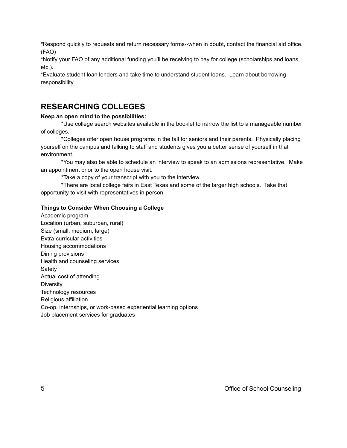\*Respond quickly to requests and return necessary forms--when in doubt, contact the financial aid office. (FAO)

\*Notify your FAO of any additional funding you'll be receiving to pay for college (scholarships and loans, etc.).

\*Evaluate student loan lenders and take time to understand student loans. Learn about borrowing responsibility.

### **RESEARCHING COLLEGES**

#### **Keep an open mind to the possibilities:**

\*Use college search websites available in the booklet to narrow the list to a manageable number of colleges.

\*Colleges offer open house programs in the fall for seniors and their parents. Physically placing yourself on the campus and talking to staff and students gives you a better sense of yourself in that environment.

\*You may also be able to schedule an interview to speak to an admissions representative. Make an appointment prior to the open house visit.

\*Take a copy of your transcript with you to the interview.

\*There are local college fairs in East Texas and some of the larger high schools. Take that opportunity to visit with representatives in person.

#### **Things to Consider When Choosing a College**

Academic program Location (urban, suburban, rural) Size (small, medium, large) Extra-curricular activities Housing accommodations Dining provisions Health and counseling services Safety Actual cost of attending **Diversity** Technology resources Religious affiliation Co-op, internships, or work-based experiential learning options Job placement services for graduates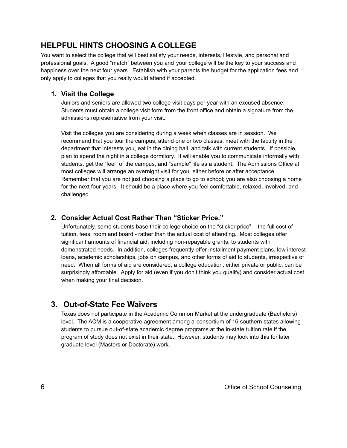# **HELPFUL HINTS CHOOSING A COLLEGE**

You want to select the college that will best satisfy your needs, interests, lifestyle, and personal and professional goals. A good "match" between you and your college will be the key to your success and happiness over the next four years. Establish with your parents the budget for the application fees and only apply to colleges that you really would attend if accepted.

#### **1. Visit the College**

Juniors and seniors are allowed two college visit days per year with an excused absence. Students must obtain a college visit form from the front office and obtain a signature from the admissions representative from your visit.

Visit the colleges you are considering during a week when classes are in session. We recommend that you tour the campus, attend one or two classes, meet with the faculty in the department that interests you, eat in the dining hall, and talk with current students. If possible, plan to spend the night in a college dormitory. It will enable you to communicate informally with students, get the "feel" of the campus, and "sample" life as a student. The Admissions Office at most colleges will arrange an overnight visit for you, either before or after acceptance. Remember that you are not just choosing a place to go to school; you are also choosing a home for the next four years. It should be a place where you feel comfortable, relaxed, involved, and challenged.

### **2. Consider Actual Cost Rather Than "Sticker Price."**

Unfortunately, some students base their college choice on the "sticker price" - the full cost of tuition, fees, room and board - rather than the actual cost of attending. Most colleges offer significant amounts of financial aid, including non-repayable grants, to students with demonstrated needs. In addition, colleges frequently offer installment payment plans, low interest loans, academic scholarships, jobs on campus, and other forms of aid to students, irrespective of need. When all forms of aid are considered, a college education, either private or public, can be surprisingly affordable. Apply for aid (even if you don't think you qualify) and consider actual cost when making your final decision.

## **3. Out-of-State Fee Waivers**

Texas does not participate in the Academic Common Market at the undergraduate (Bachelors) level. The ACM is a cooperative agreement among a consortium of 16 southern states allowing students to pursue out-of-state academic degree programs at the in-state tuition rate if the program of study does not exist in their state. However, students may look into this for later graduate level (Masters or Doctorate) work.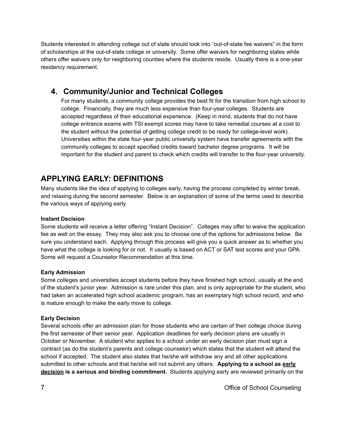Students interested in attending college out of state should look into "out-of-state fee waivers" in the form of scholarships at the out-of-state college or university. Some offer waivers for neighboring states while others offer waivers only for neighboring counties where the students reside. Usually there is a one-year residency requirement.

## **4. Community/Junior and Technical Colleges**

For many students, a community college provides the best fit for the transition from high school to college. Financially, they are much less expensive than four-year colleges. Students are accepted regardless of their educational experience. (Keep in mind, students that do not have college entrance exams with TSI exempt scores may have to take remedial courses at a cost to the student without the potential of getting college credit to be ready for college-level work). Universities within the state four-year public university system have transfer agreements with the community colleges to accept specified credits toward bachelor degree programs. It will be important for the student and parent to check which credits will transfer to the four-year university.

# **APPLYING EARLY: DEFINITIONS**

Many students like the idea of applying to colleges early, having the process completed by winter break, and relaxing during the second semester. Below is an explanation of some of the terms used to describe the various ways of applying early.

#### **Instant Decision**

Some students will receive a letter offering "Instant Decision". Colleges may offer to waive the application fee as well on the essay. They may also ask you to choose one of the options for admissions below. Be sure you understand each. Applying through this process will give you a quick answer as to whether you have what the college is looking for or not. It usually is based on ACT or SAT test scores and your GPA. Some will request a Counselor Recommendation at this time.

#### **Early Admission**

Some colleges and universities accept students before they have finished high school, usually at the end of the student's junior year. Admission is rare under this plan, and is only appropriate for the student, who had taken an accelerated high school academic program, has an exemplary high school record, and who is mature enough to make the early move to college.

#### **Early Decision**

Several schools offer an admission plan for those students who are certain of their college choice during the first semester of their senior year. Application deadlines for early decision plans are usually in October or November. A student who applies to a school under an early decision plan must sign a contract (as do the student's parents and college counselor) which states that the student will attend the school if accepted. The student also states that he/she will withdraw any and all other applications submitted to other schools and that he/she will not submit any others. **Applying to a school as early decision is a serious and binding commitment.** Students applying early are reviewed primarily on the

7 Office of School Counseling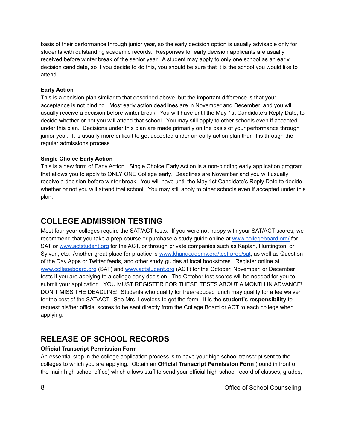basis of their performance through junior year, so the early decision option is usually advisable only for students with outstanding academic records. Responses for early decision applicants are usually received before winter break of the senior year. A student may apply to only one school as an early decision candidate, so if you decide to do this, you should be sure that it is the school you would like to attend.

#### **Early Action**

This is a decision plan similar to that described above, but the important difference is that your acceptance is not binding. Most early action deadlines are in November and December, and you will usually receive a decision before winter break. You will have until the May 1st Candidate's Reply Date, to decide whether or not you will attend that school. You may still apply to other schools even if accepted under this plan. Decisions under this plan are made primarily on the basis of your performance through junior year. It is usually more difficult to get accepted under an early action plan than it is through the regular admissions process.

#### **Single Choice Early Action**

This is a new form of Early Action. Single Choice Early Action is a non-binding early application program that allows you to apply to ONLY ONE College early. Deadlines are November and you will usually receive a decision before winter break. You will have until the May 1st Candidate's Reply Date to decide whether or not you will attend that school. You may still apply to other schools even if accepted under this plan.

# **COLLEGE ADMISSION TESTING**

Most four-year colleges require the SAT/ACT tests. If you were not happy with your SAT/ACT scores, we recommend that you take a prep course or purchase a study guide online at [www.collegeboard.org/](https://www.collegeboard.org/) for SAT or [www.actstudent.org](http://www.actstudent.org) for the ACT, or through private companies such as Kaplan, Huntington, or Sylvan, etc. Another great place for practice is [www.khanacademy.org/test-prep/sat](http://www.khanacademy.org/test-prep/sat), as well as Question of the Day Apps or Twitter feeds, and other study guides at local bookstores. Register online at [www.collegeboard.org](http://www.collegeboard.org) (SAT) and [www.actstudent.org](http://www.actstudent.org) (ACT) for the October, November, or December tests if you are applying to a college early decision. The October test scores will be needed for you to submit your application. YOU MUST REGISTER FOR THESE TESTS ABOUT A MONTH IN ADVANCE! DON'T MISS THE DEADLINE! Students who qualify for free/reduced lunch may qualify for a fee waiver for the cost of the SAT/ACT. See Mrs. Loveless to get the form. It is the **student's responsibility** to request his/her official scores to be sent directly from the College Board or ACT to each college when applying.

# **RELEASE OF SCHOOL RECORDS**

#### **Official Transcript Permission Form**

An essential step in the college application process is to have your high school transcript sent to the colleges to which you are applying. Obtain an **Official Transcript Permission Form** (found in front of the main high school office) which allows staff to send your official high school record of classes, grades,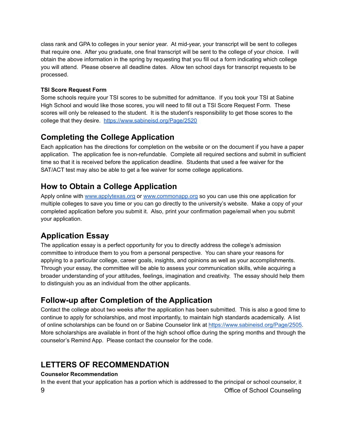class rank and GPA to colleges in your senior year. At mid-year, your transcript will be sent to colleges that require one. After you graduate, one final transcript will be sent to the college of your choice. I will obtain the above information in the spring by requesting that you fill out a form indicating which college you will attend. Please observe all deadline dates. Allow ten school days for transcript requests to be processed.

#### **TSI Score Request Form**

Some schools require your TSI scores to be submitted for admittance. If you took your TSI at Sabine High School and would like those scores, you will need to fill out a TSI Score Request Form. These scores will only be released to the student. It is the student's responsibility to get those scores to the college that they desire. <https://www.sabineisd.org/Page/2520>

# **Completing the College Application**

Each application has the directions for completion on the website or on the document if you have a paper application. The application fee is non-refundable. Complete all required sections and submit in sufficient time so that it is received before the application deadline. Students that used a fee waiver for the SAT/ACT test may also be able to get a fee waiver for some college applications.

## **How to Obtain a College Application**

Apply online with [www.applytexas.org](http://www.applytexas.org) or [www.commonapp.org](http://www.commonapp.org) so you can use this one application for multiple colleges to save you time or you can go directly to the university's website. Make a copy of your completed application before you submit it. Also, print your confirmation page/email when you submit your application.

# **Application Essay**

The application essay is a perfect opportunity for you to directly address the college's admission committee to introduce them to you from a personal perspective. You can share your reasons for applying to a particular college, career goals, insights, and opinions as well as your accomplishments. Through your essay, the committee will be able to assess your communication skills, while acquiring a broader understanding of your attitudes, feelings, imagination and creativity. The essay should help them to distinguish you as an individual from the other applicants.

## **Follow-up after Completion of the Application**

Contact the college about two weeks after the application has been submitted. This is also a good time to continue to apply for scholarships, and most importantly, to maintain high standards academically. A list of online scholarships can be found on or Sabine Counselor link at [https://www.sabineisd.org/Page/2505.](https://www.sabineisd.org/Page/2505) More scholarships are available in front of the high school office during the spring months and through the counselor's Remind App. Please contact the counselor for the code.

# **LETTERS OF RECOMMENDATION**

#### **Counselor Recommendation**

In the event that your application has a portion which is addressed to the principal or school counselor, it 9 Office of School Counseling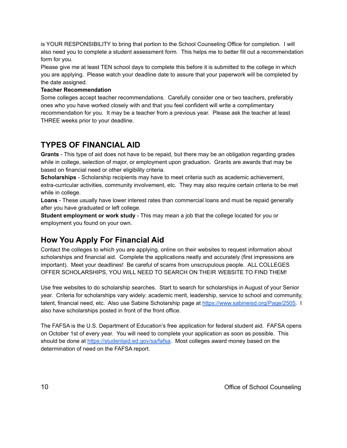is YOUR RESPONSIBILITY to bring that portion to the School Counseling Office for completion. I will also need you to complete a student assessment form. This helps me to better fill out a recommendation form for you.

Please give me at least TEN school days to complete this before it is submitted to the college in which you are applying. Please watch your deadline date to assure that your paperwork will be completed by the date assigned.

#### **Teacher Recommendation**

Some colleges accept teacher recommendations. Carefully consider one or two teachers, preferably ones who you have worked closely with and that you feel confident will write a complimentary recommendation for you. It may be a teacher from a previous year. Please ask the teacher at least THREE weeks prior to your deadline.

## **TYPES OF FINANCIAL AID**

**Grants** - This type of aid does not have to be repaid, but there may be an obligation regarding grades while in college, selection of major, or employment upon graduation. Grants are awards that may be based on financial need or other eligibility criteria.

**Scholarships** - Scholarship recipients may have to meet criteria such as academic achievement, extra-curricular activities, community involvement, etc. They may also require certain criteria to be met while in college.

**Loans** - These usually have lower interest rates than commercial loans and must be repaid generally after you have graduated or left college.

**Student employment or work study** - This may mean a job that the college located for you or employment you found on your own.

# **How You Apply For Financial Aid**

Contact the colleges to which you are applying, online on their websites to request information about scholarships and financial aid. Complete the applications neatly and accurately (first impressions are important). Meet your deadlines! Be careful of scams from unscrupulous people. ALL COLLEGES OFFER SCHOLARSHIPS, YOU WILL NEED TO SEARCH ON THEIR WEBSITE TO FIND THEM!

Use free websites to do scholarship searches. Start to search for scholarships in August of your Senior year. Criteria for scholarships vary widely: academic merit, leadership, service to school and community, talent, financial need, etc. Also use Sabine Scholarship page at [https://www.sabineisd.org/Page/2505.](https://www.sabineisd.org/Page/2505) I also have scholarships posted in front of the front office.

The FAFSA is the U.S. Department of Education's free application for federal student aid. FAFSA opens on October 1st of every year. You will need to complete your application as soon as possible. This should be done at [https://studentaid.ed.gov/sa/fafsa.](https://studentaid.ed.gov/sa/fafsa) Most colleges award money based on the determination of need on the FAFSA report.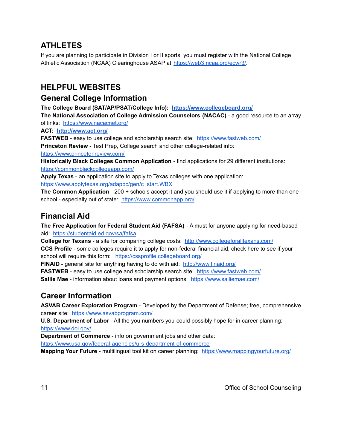# **ATHLETES**

If you are planning to participate in Division I or II sports, you must register with the National College Athletic Association (NCAA) Clearinghouse ASAP at <https://web3.ncaa.org/ecwr3/>.

## **HELPFUL WEBSITES**

### **General College Information**

**The College Board (SAT/AP/PSAT/College Info): <https://www.collegeboard.org/>**

**The National Association of College Admission Counselors (NACAC)** - a good resource to an array of links: <https://www.nacacnet.org/>

**ACT: <http://www.act.org/>**

**FASTWEB** - easy to use college and scholarship search site: <https://www.fastweb.com/> **Princeton Review** - Test Prep, College search and other college-related info: <https://www.princetonreview.com/>

**Historically Black Colleges Common Application** - find applications for 29 different institutions: <https://commonblackcollegeapp.com/>

**Apply Texas** - an application site to apply to Texas colleges with one application: [https://www.applytexas.org/adappc/gen/c\\_start.WBX](https://www.applytexas.org/adappc/gen/c_start.WBX)

**The Common Application** - 200 + schools accept it and you should use it if applying to more than one school - especially out of state: <https://www.commonapp.org/>

# **Financial Aid**

**The Free Application for Federal Student Aid (FAFSA)** - A must for anyone applying for need-based aid: <https://studentaid.ed.gov/sa/fafsa>

**College for Texans** - a site for comparing college costs: <http://www.collegeforalltexans.com/> **CCS Profile** - some colleges require it to apply for non-federal financial aid, check here to see if your school will require this form: <https://cssprofile.collegeboard.org/>

**FINAID** - general site for anything having to do with aid: <http://www.finaid.org/>

**FASTWEB** - easy to use college and scholarship search site: <https://www.fastweb.com/>

**Sallie Mae** - information about loans and payment options: <https://www.salliemae.com/>

# **Career Information**

**ASVAB Career Exploration Program** - Developed by the Department of Defense; free, comprehensive career site: <https://www.asvabprogram.com/>

**U.S. Department of Labor** - All the you numbers you could possibly hope for in career planning: <https://www.dol.gov/>

**Department of Commerce** - info on government jobs and other data:

<https://www.usa.gov/federal-agencies/u-s-department-of-commerce>

**Mapping Your Future** - multilingual tool kit on career planning: <https://www.mappingyourfuture.org/>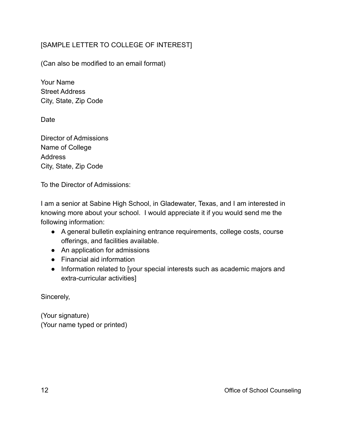### [SAMPLE LETTER TO COLLEGE OF INTEREST]

(Can also be modified to an email format)

Your Name Street Address City, State, Zip Code

Date

Director of Admissions Name of College Address City, State, Zip Code

To the Director of Admissions:

I am a senior at Sabine High School, in Gladewater, Texas, and I am interested in knowing more about your school. I would appreciate it if you would send me the following information:

- A general bulletin explaining entrance requirements, college costs, course offerings, and facilities available.
- An application for admissions
- Financial aid information
- Information related to [your special interests such as academic majors and extra-curricular activities]

Sincerely,

(Your signature) (Your name typed or printed)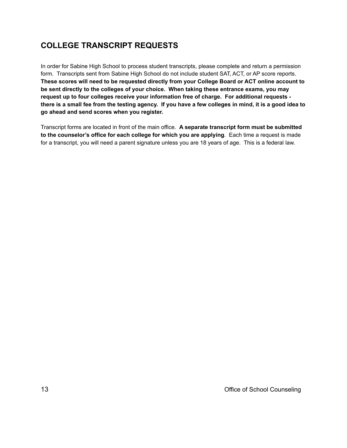# **COLLEGE TRANSCRIPT REQUESTS**

In order for Sabine High School to process student transcripts, please complete and return a permission form. Transcripts sent from Sabine High School do not include student SAT, ACT, or AP score reports. **These scores will need to be requested directly from your College Board or ACT online account to be sent directly to the colleges of your choice. When taking these entrance exams, you may request up to four colleges receive your information free of charge. For additional requests**  there is a small fee from the testing agency. If you have a few colleges in mind, it is a good idea to **go ahead and send scores when you register.**

Transcript forms are located in front of the main office. **A separate transcript form must be submitted to the counselor's office for each college for which you are applying**. Each time a request is made for a transcript, you will need a parent signature unless you are 18 years of age. This is a federal law.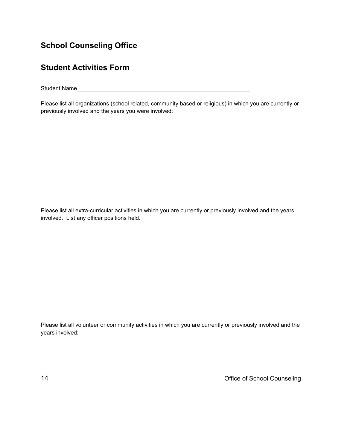# **School Counseling Office**

## **Student Activities Form**

Student Name

Please list all organizations (school related, community based or religious) in which you are currently or previously involved and the years you were involved:

Please list all extra-curricular activities in which you are currently or previously involved and the years involved. List any officer positions held.

Please list all volunteer or community activities in which you are currently or previously involved and the years involved:

14 Office of School Counseling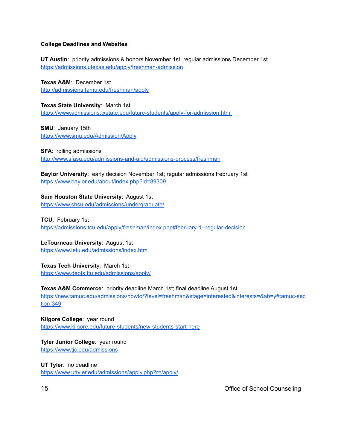#### **College Deadlines and Websites**

**UT Austin**: priority admissions & honors November 1st; regular admissions December 1st <https://admissions.utexas.edu/apply/freshman-admission>

**Texas A&M**: December 1st <http://admissions.tamu.edu/freshman/apply>

**Texas State University**: March 1st <https://www.admissions.txstate.edu/future-students/apply-for-admission.html>

**SMU**: January 15th <https://www.smu.edu/Admission/Apply>

**SFA**: rolling admissions <http://www.sfasu.edu/admissions-and-aid/admissions-process/freshman>

**Baylor University**: early decision November 1st; regular admissions February 1st <https://www.baylor.edu/about/index.php?id=89309>

**Sam Houston State University**: August 1st <https://www.shsu.edu/admissions/undergraduate/>

**TCU**: February 1st <https://admissions.tcu.edu/apply/freshman/index.php#february-1--regular-decision>

**LeTourneau University**: August 1st <https://www.letu.edu/admissions/index.html>

**Texas Tech Universit**y: March 1st <https://www.depts.ttu.edu/admissions/apply/>

**Texas A&M Commerce**: priority deadline March 1st; final deadline August 1st [https://new.tamuc.edu/admissions/howto/?level=freshman&stage=interested&interests=&ab=y#tamuc-sec](https://new.tamuc.edu/admissions/howto/?level=freshman&stage=interested&interests=&ab=y#tamuc-section-349) [tion-349](https://new.tamuc.edu/admissions/howto/?level=freshman&stage=interested&interests=&ab=y#tamuc-section-349)

**Kilgore College**: year round <https://www.kilgore.edu/future-students/new-students-start-here>

**Tyler Junior College**: year round <https://www.tjc.edu/admissions>

**UT Tyler**: no deadline <https://www.uttyler.edu/admissions/apply.php?r=/apply/>

15 Office of School Counseling